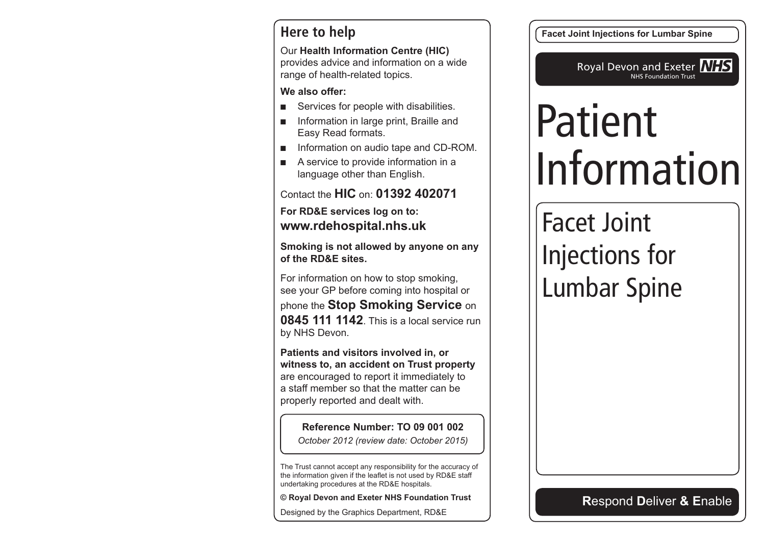#### **Here to help**

Our **Health Information Centre (HIC)** provides advice and information on a wide range of health-related topics.

**We also offer:**

- Services for people with disabilities.
- Information in large print, Braille and Easy Read formats.
- Information on audio tape and CD-ROM.
- A service to provide information in a language other than English.

Contact the **HIC** on: **01392 402071**

**For RD&E services log on to: www.rdehospital.nhs.uk**

**Smoking is not allowed by anyone on any of the RD&E sites.**

For information on how to stop smoking, see your GP before coming into hospital or phone the **Stop Smoking Service** on **0845 111 1142**. This is a local service run by NHS Devon.

**Patients and visitors involved in, or witness to, an accident on Trust property** are encouraged to report it immediately to a staff member so that the matter can be properly reported and dealt with.

**Reference Number: TO 09 001 002** *October 2012 (review date: October 2015)*

The Trust cannot accept any responsibility for the accuracy of the information given if the leaflet is not used by RD&E staff undertaking procedures at the RD&E hospitals.

**© Royal Devon and Exeter NHS Foundation Trust**

Designed by the Graphics Department, RD&E

**Facet Joint Injections for Lumbar Spine**

Royal Devon and Exeter **NHS** NHS Foundation Trust

# Patient Information

# Facet Joint Injections for Lumbar Spine